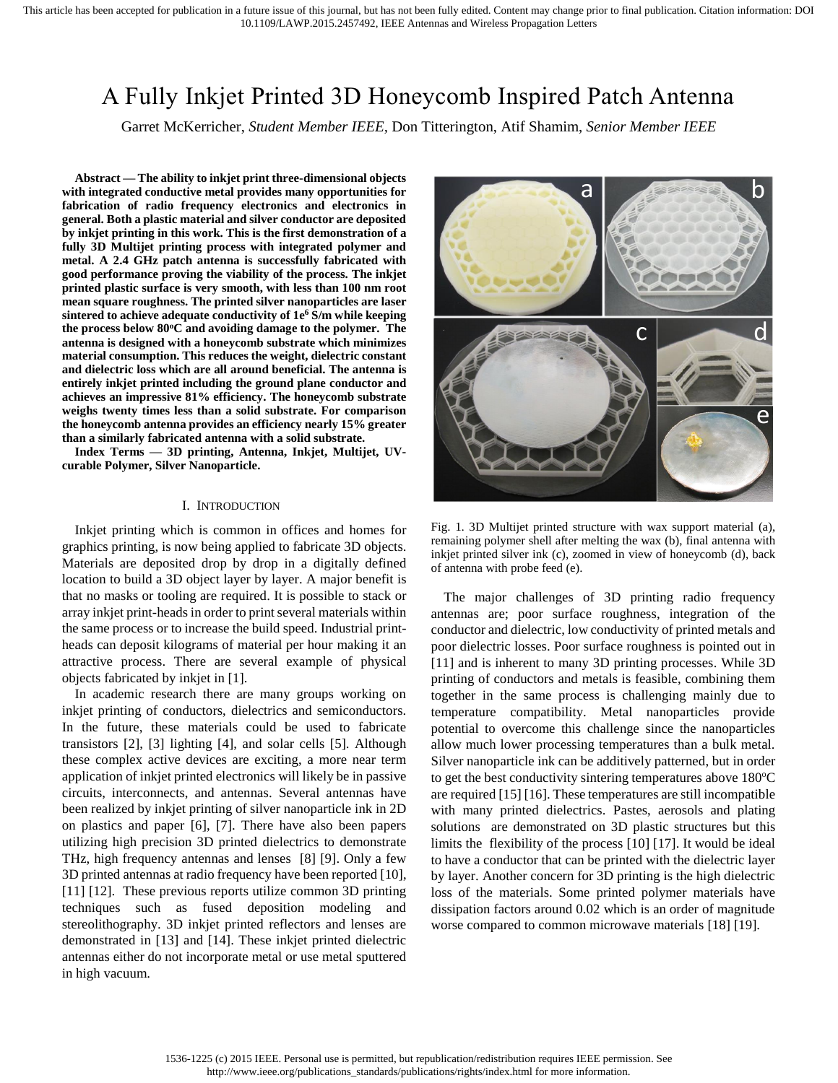# A Fully Inkjet Printed 3D Honeycomb Inspired Patch Antenna

Garret McKerricher, *Student Member IEEE,* Don Titterington, Atif Shamim, *Senior Member IEEE*

**Abstract — The ability to inkjet print three-dimensional objects with integrated conductive metal provides many opportunities for fabrication of radio frequency electronics and electronics in general. Both a plastic material and silver conductor are deposited by inkjet printing in this work. This is the first demonstration of a fully 3D Multijet printing process with integrated polymer and metal. A 2.4 GHz patch antenna is successfully fabricated with good performance proving the viability of the process. The inkjet printed plastic surface is very smooth, with less than 100 nm root mean square roughness. The printed silver nanoparticles are laser sintered to achieve adequate conductivity of 1e <sup>6</sup> S/m while keeping the process below 80<sup>o</sup>C and avoiding damage to the polymer. The antenna is designed with a honeycomb substrate which minimizes material consumption. This reduces the weight, dielectric constant and dielectric loss which are all around beneficial. The antenna is entirely inkjet printed including the ground plane conductor and achieves an impressive 81% efficiency. The honeycomb substrate weighs twenty times less than a solid substrate. For comparison the honeycomb antenna provides an efficiency nearly 15% greater than a similarly fabricated antenna with a solid substrate.** 

**Index Terms — 3D printing, Antenna, Inkjet, Multijet, UVcurable Polymer, Silver Nanoparticle.**

## I. INTRODUCTION

Inkjet printing which is common in offices and homes for graphics printing, is now being applied to fabricate 3D objects. Materials are deposited drop by drop in a digitally defined location to build a 3D object layer by layer. A major benefit is that no masks or tooling are required. It is possible to stack or array inkjet print-heads in order to print several materials within the same process or to increase the build speed. Industrial printheads can deposit kilograms of material per hour making it an attractive process. There are several example of physical objects fabricated by inkjet in [1].

In academic research there are many groups working on inkjet printing of conductors, dielectrics and semiconductors. In the future, these materials could be used to fabricate transistors [2], [3] lighting [4], and solar cells [5]. Although these complex active devices are exciting, a more near term application of inkjet printed electronics will likely be in passive circuits, interconnects, and antennas. Several antennas have been realized by inkjet printing of silver nanoparticle ink in 2D on plastics and paper [6], [7]. There have also been papers utilizing high precision 3D printed dielectrics to demonstrate THz, high frequency antennas and lenses [8] [9]. Only a few 3D printed antennas at radio frequency have been reported [10], [11] [12]. These previous reports utilize common 3D printing techniques such as fused deposition modeling and stereolithography. 3D inkjet printed reflectors and lenses are demonstrated in [13] and [14]. These inkjet printed dielectric antennas either do not incorporate metal or use metal sputtered in high vacuum.



Fig. 1. 3D Multijet printed structure with wax support material (a), remaining polymer shell after melting the wax (b), final antenna with inkjet printed silver ink (c), zoomed in view of honeycomb (d), back of antenna with probe feed (e).

<span id="page-0-0"></span>The major challenges of 3D printing radio frequency antennas are; poor surface roughness, integration of the conductor and dielectric, low conductivity of printed metals and poor dielectric losses. Poor surface roughness is pointed out in [11] and is inherent to many 3D printing processes. While 3D printing of conductors and metals is feasible, combining them together in the same process is challenging mainly due to temperature compatibility. Metal nanoparticles provide potential to overcome this challenge since the nanoparticles allow much lower processing temperatures than a bulk metal. Silver nanoparticle ink can be additively patterned, but in order to get the best conductivity sintering temperatures above  $180^{\circ}$ C are required [15] [16]. These temperatures are still incompatible with many printed dielectrics. Pastes, aerosols and plating solutions are demonstrated on 3D plastic structures but this limits the flexibility of the process [10] [17]. It would be ideal to have a conductor that can be printed with the dielectric layer by layer. Another concern for 3D printing is the high dielectric loss of the materials. Some printed polymer materials have dissipation factors around 0.02 which is an order of magnitude worse compared to common microwave materials [18] [19].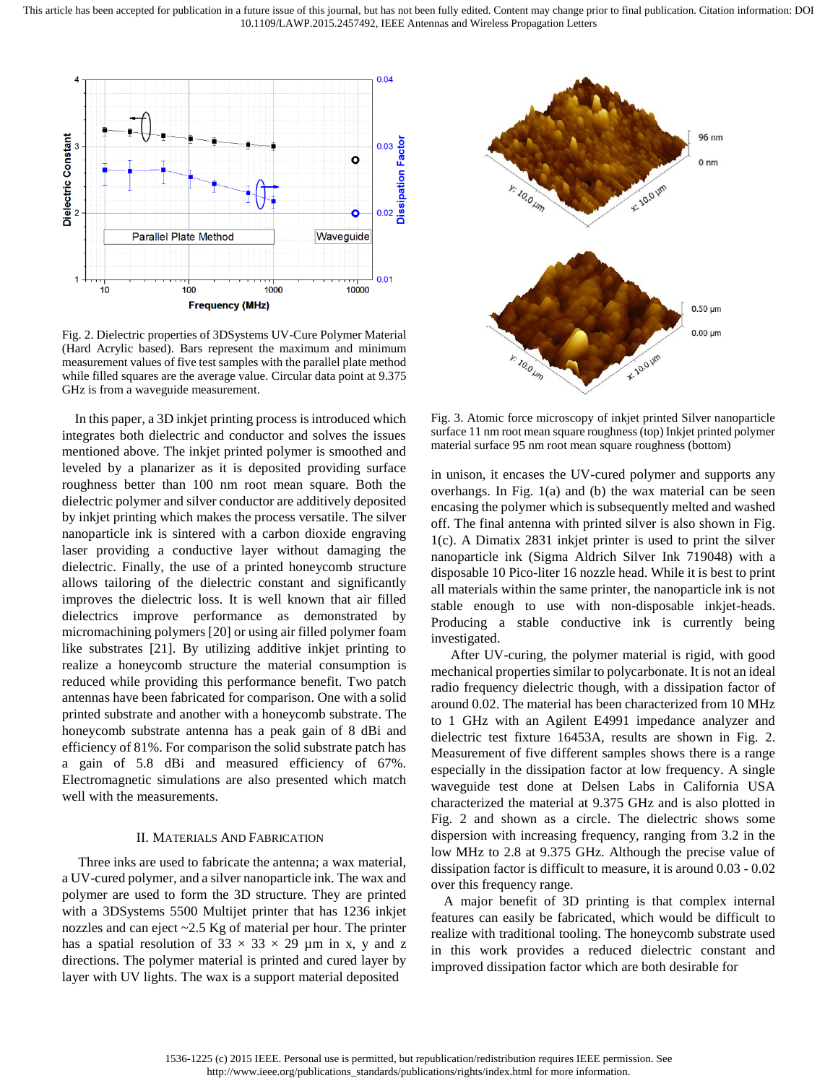This article has been accepted for publication in a future issue of this journal, but has not been fully edited. Content may change prior to final publication. Citation information: DOI 10.1109/LAWP.2015.2457492, IEEE Antennas and Wireless Propagation Letters



<span id="page-1-0"></span>Fig. 2. Dielectric properties of 3DSystems UV-Cure Polymer Material (Hard Acrylic based). Bars represent the maximum and minimum measurement values of five test samples with the parallel plate method while filled squares are the average value. Circular data point at 9.375 GHz is from a waveguide measurement.

In this paper, a 3D inkjet printing process is introduced which integrates both dielectric and conductor and solves the issues mentioned above. The inkjet printed polymer is smoothed and leveled by a planarizer as it is deposited providing surface roughness better than 100 nm root mean square. Both the dielectric polymer and silver conductor are additively deposited by inkjet printing which makes the process versatile. The silver nanoparticle ink is sintered with a carbon dioxide engraving laser providing a conductive layer without damaging the dielectric. Finally, the use of a printed honeycomb structure allows tailoring of the dielectric constant and significantly improves the dielectric loss. It is well known that air filled dielectrics improve performance as demonstrated by micromachining polymers [20] or using air filled polymer foam like substrates [21]. By utilizing additive inkjet printing to realize a honeycomb structure the material consumption is reduced while providing this performance benefit. Two patch antennas have been fabricated for comparison. One with a solid printed substrate and another with a honeycomb substrate. The honeycomb substrate antenna has a peak gain of 8 dBi and efficiency of 81%. For comparison the solid substrate patch has a gain of 5.8 dBi and measured efficiency of 67%. Electromagnetic simulations are also presented which match well with the measurements.

## II. MATERIALS AND FABRICATION

Three inks are used to fabricate the antenna; a wax material, a UV-cured polymer, and a silver nanoparticle ink. The wax and polymer are used to form the 3D structure. They are printed with a 3DSystems 5500 Multijet printer that has 1236 inkjet nozzles and can eject ~2.5 Kg of material per hour. The printer has a spatial resolution of  $33 \times 33 \times 29$  µm in x, y and z directions. The polymer material is printed and cured layer by layer with UV lights. The wax is a support material deposited



<span id="page-1-1"></span>Fig. 3. Atomic force microscopy of inkjet printed Silver nanoparticle surface 11 nm root mean square roughness (top) Inkjet printed polymer material surface 95 nm root mean square roughness (bottom)

in unison, it encases the UV-cured polymer and supports any overhangs. In [Fig. 1\(](#page-0-0)a) and (b) the wax material can be seen encasing the polymer which is subsequently melted and washed off. The final antenna with printed silver is also shown in [Fig.](#page-0-0)  [1\(](#page-0-0)c). A Dimatix 2831 inkjet printer is used to print the silver nanoparticle ink (Sigma Aldrich Silver Ink 719048) with a disposable 10 Pico-liter 16 nozzle head. While it is best to print all materials within the same printer, the nanoparticle ink is not stable enough to use with non-disposable inkjet-heads. Producing a stable conductive ink is currently being investigated.

After UV-curing, the polymer material is rigid, with good mechanical properties similar to polycarbonate. It is not an ideal radio frequency dielectric though, with a dissipation factor of around 0.02. The material has been characterized from 10 MHz to 1 GHz with an Agilent E4991 impedance analyzer and dielectric test fixture 16453A, results are shown in [Fig. 2.](#page-1-0) Measurement of five different samples shows there is a range especially in the dissipation factor at low frequency. A single waveguide test done at Delsen Labs in California USA characterized the material at 9.375 GHz and is also plotted in [Fig. 2](#page-1-0) and shown as a circle. The dielectric shows some dispersion with increasing frequency, ranging from 3.2 in the low MHz to 2.8 at 9.375 GHz. Although the precise value of dissipation factor is difficult to measure, it is around 0.03 - 0.02 over this frequency range.

A major benefit of 3D printing is that complex internal features can easily be fabricated, which would be difficult to realize with traditional tooling. The honeycomb substrate used in this work provides a reduced dielectric constant and improved dissipation factor which are both desirable for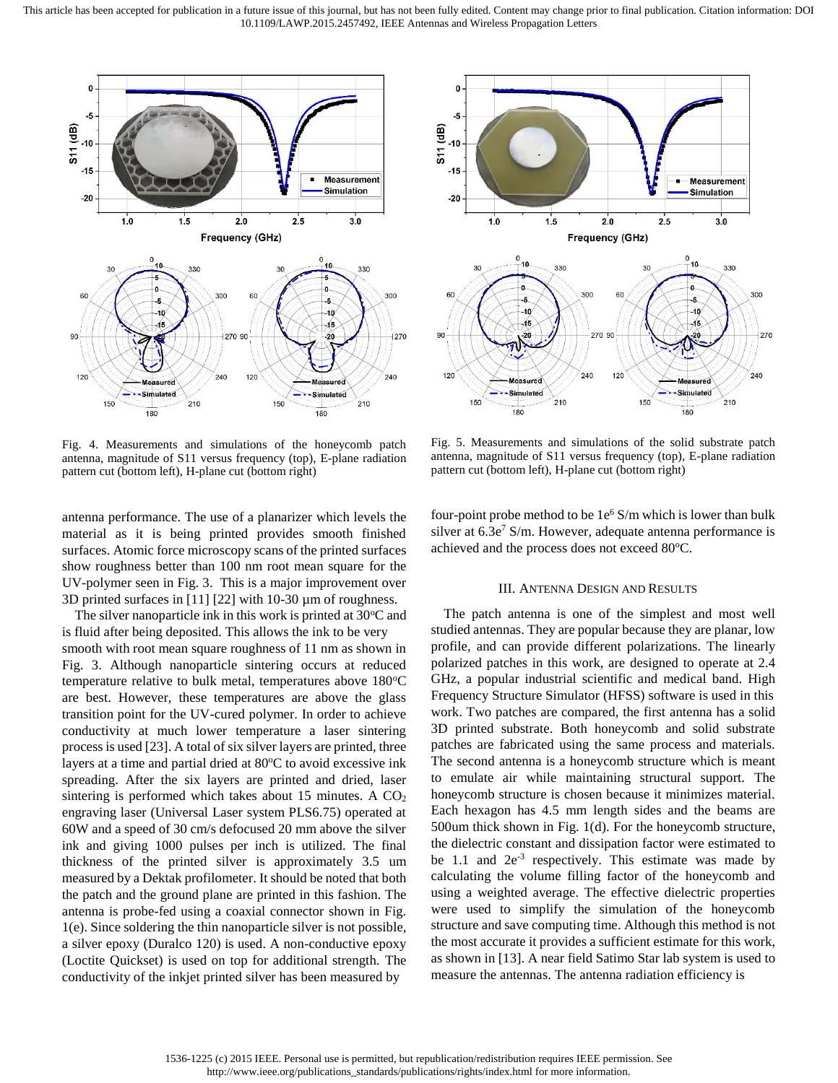

<span id="page-2-0"></span>Fig. 4. Measurements and simulations of the honeycomb patch antenna, magnitude of S11 versus frequency (top), E-plane radiation pattern cut (bottom left), H-plane cut (bottom right)

antenna performance. The use of a planarizer which levels the material as it is being printed provides smooth finished surfaces. Atomic force microscopy scans of the printed surfaces show roughness better than 100 nm root mean square for the UV-polymer seen in [Fig. 3.](#page-1-1) This is a major improvement over 3D printed surfaces in [11] [22] with 10-30 µm of roughness.

The silver nanoparticle ink in this work is printed at  $30^{\circ}$ C and is fluid after being deposited. This allows the ink to be very smooth with root mean square roughness of 11 nm as shown in [Fig. 3.](#page-1-1) Although nanoparticle sintering occurs at reduced temperature relative to bulk metal, temperatures above  $180^{\circ}$ C are best. However, these temperatures are above the glass transition point for the UV-cured polymer. In order to achieve conductivity at much lower temperature a laser sintering process is used [23]. A total of six silver layers are printed, three layers at a time and partial dried at  $80^{\circ}$ C to avoid excessive ink spreading. After the six layers are printed and dried, laser sintering is performed which takes about 15 minutes. A  $CO<sub>2</sub>$ engraving laser (Universal Laser system PLS6.75) operated at 60W and a speed of 30 cm/s defocused 20 mm above the silver ink and giving 1000 pulses per inch is utilized. The final thickness of the printed silver is approximately 3.5 um measured by a Dektak profilometer. It should be noted that both the patch and the ground plane are printed in this fashion. The antenna is probe-fed using a coaxial connector shown in [Fig.](#page-0-0)  [1\(](#page-0-0)e). Since soldering the thin nanoparticle silver is not possible, a silver epoxy (Duralco 120) is used. A non-conductive epoxy (Loctite Quickset) is used on top for additional strength. The conductivity of the inkjet printed silver has been measured by



<span id="page-2-1"></span>Fig. 5. Measurements and simulations of the solid substrate patch antenna, magnitude of S11 versus frequency (top), E-plane radiation pattern cut (bottom left), H-plane cut (bottom right)

four-point probe method to be 1e <sup>6</sup> S/m which is lower than bulk silver at  $6.3e<sup>7</sup>$  S/m. However, adequate antenna performance is achieved and the process does not exceed 80°C.

### III. ANTENNA DESIGN AND RESULTS

The patch antenna is one of the simplest and most well studied antennas. They are popular because they are planar, low profile, and can provide different polarizations. The linearly polarized patches in this work, are designed to operate at 2.4 GHz, a popular industrial scientific and medical band. High Frequency Structure Simulator (HFSS) software is used in this work. Two patches are compared, the first antenna has a solid 3D printed substrate. Both honeycomb and solid substrate patches are fabricated using the same process and materials. The second antenna is a honeycomb structure which is meant to emulate air while maintaining structural support. The honeycomb structure is chosen because it minimizes material. Each hexagon has 4.5 mm length sides and the beams are 500um thick shown in [Fig. 1\(](#page-0-0)d). For the honeycomb structure, the dielectric constant and dissipation factor were estimated to be 1.1 and  $2e^{-3}$  respectively. This estimate was made by calculating the volume filling factor of the honeycomb and using a weighted average. The effective dielectric properties were used to simplify the simulation of the honeycomb structure and save computing time. Although this method is not the most accurate it provides a sufficient estimate for this work, as shown in [13]. A near field Satimo Star lab system is used to measure the antennas. The antenna radiation efficiency is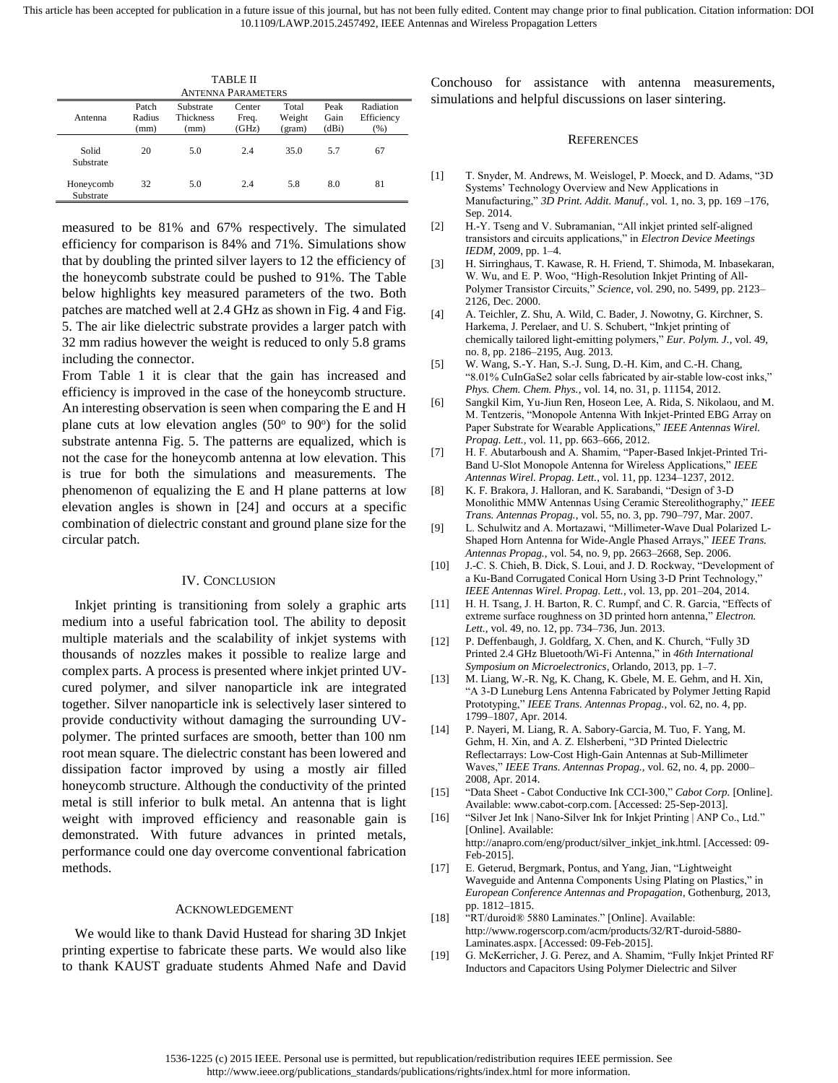This article has been accepted for publication in a future issue of this journal, but has not been fully edited. Content may change prior to final publication. Citation information: DOI 10.1109/LAWP.2015.2457492, IEEE Antennas and Wireless Propagation Letters

| TABLE II                  |                         |                                       |                          |                           |                       |                                 |
|---------------------------|-------------------------|---------------------------------------|--------------------------|---------------------------|-----------------------|---------------------------------|
| <b>ANTENNA PARAMETERS</b> |                         |                                       |                          |                           |                       |                                 |
| Antenna                   | Patch<br>Radius<br>(mm) | Substrate<br><b>Thickness</b><br>(mm) | Center<br>Freq.<br>(GHz) | Total<br>Weight<br>(gram) | Peak<br>Gain<br>(dBi) | Radiation<br>Efficiency<br>(% ) |
| Solid<br>Substrate        | 20                      | 5.0                                   | 2.4                      | 35.0                      | 5.7                   | 67                              |
| Honeycomb<br>Substrate    | 32                      | 5.0                                   | 2.4                      | 5.8                       | 8.0                   | 81                              |

measured to be 81% and 67% respectively. The simulated efficiency for comparison is 84% and 71%. Simulations show that by doubling the printed silver layers to 12 the efficiency of the honeycomb substrate could be pushed to 91%. The Table below highlights key measured parameters of the two. Both patches are matched well at 2.4 GHz as shown in [Fig. 4](#page-2-0) an[d Fig.](#page-2-1)  [5.](#page-2-1) The air like dielectric substrate provides a larger patch with 32 mm radius however the weight is reduced to only 5.8 grams including the connector.

From Table 1 it is clear that the gain has increased and efficiency is improved in the case of the honeycomb structure. An interesting observation is seen when comparing the E and H plane cuts at low elevation angles (50° to 90°) for the solid substrate antenna [Fig. 5.](#page-2-1) The patterns are equalized, which is not the case for the honeycomb antenna at low elevation. This is true for both the simulations and measurements. The phenomenon of equalizing the E and H plane patterns at low elevation angles is shown in [24] and occurs at a specific combination of dielectric constant and ground plane size for the circular patch.

#### IV. CONCLUSION

Inkjet printing is transitioning from solely a graphic arts medium into a useful fabrication tool. The ability to deposit multiple materials and the scalability of inkjet systems with thousands of nozzles makes it possible to realize large and complex parts. A process is presented where inkjet printed UVcured polymer, and silver nanoparticle ink are integrated together. Silver nanoparticle ink is selectively laser sintered to provide conductivity without damaging the surrounding UVpolymer. The printed surfaces are smooth, better than 100 nm root mean square. The dielectric constant has been lowered and dissipation factor improved by using a mostly air filled honeycomb structure. Although the conductivity of the printed metal is still inferior to bulk metal. An antenna that is light weight with improved efficiency and reasonable gain is demonstrated. With future advances in printed metals, performance could one day overcome conventional fabrication methods.

## ACKNOWLEDGEMENT

We would like to thank David Hustead for sharing 3D Inkjet printing expertise to fabricate these parts. We would also like to thank KAUST graduate students Ahmed Nafe and David Conchouso for assistance with antenna measurements, simulations and helpful discussions on laser sintering.

#### **REFERENCES**

- [1] T. Snyder, M. Andrews, M. Weislogel, P. Moeck, and D. Adams, "3D Systems' Technology Overview and New Applications in Manufacturing," *3D Print. Addit. Manuf.*, vol. 1, no. 3, pp. 169 –176, Sep. 2014.
- [2] H.-Y. Tseng and V. Subramanian, "All inkjet printed self-aligned transistors and circuits applications," in *Electron Device Meetings IEDM*, 2009, pp. 1–4.
- [3] H. Sirringhaus, T. Kawase, R. H. Friend, T. Shimoda, M. Inbasekaran, W. Wu, and E. P. Woo, "High-Resolution Inkjet Printing of All-Polymer Transistor Circuits," *Science*, vol. 290, no. 5499, pp. 2123– 2126, Dec. 2000.
- [4] A. Teichler, Z. Shu, A. Wild, C. Bader, J. Nowotny, G. Kirchner, S. Harkema, J. Perelaer, and U. S. Schubert, "Inkjet printing of chemically tailored light-emitting polymers," *Eur. Polym. J.*, vol. 49, no. 8, pp. 2186–2195, Aug. 2013.
- [5] W. Wang, S.-Y. Han, S.-J. Sung, D.-H. Kim, and C.-H. Chang, "8.01% CuInGaSe2 solar cells fabricated by air-stable low-cost inks," *Phys. Chem. Chem. Phys.*, vol. 14, no. 31, p. 11154, 2012.
- [6] Sangkil Kim, Yu-Jiun Ren, Hoseon Lee, A. Rida, S. Nikolaou, and M. M. Tentzeris, "Monopole Antenna With Inkjet-Printed EBG Array on Paper Substrate for Wearable Applications," *IEEE Antennas Wirel. Propag. Lett.*, vol. 11, pp. 663–666, 2012.
- [7] H. F. Abutarboush and A. Shamim, "Paper-Based Inkjet-Printed Tri-Band U-Slot Monopole Antenna for Wireless Applications," *IEEE Antennas Wirel. Propag. Lett.*, vol. 11, pp. 1234–1237, 2012.
- [8] K. F. Brakora, J. Halloran, and K. Sarabandi, "Design of 3-D Monolithic MMW Antennas Using Ceramic Stereolithography," *IEEE Trans. Antennas Propag.*, vol. 55, no. 3, pp. 790–797, Mar. 2007.
- [9] L. Schulwitz and A. Mortazawi, "Millimeter-Wave Dual Polarized L-Shaped Horn Antenna for Wide-Angle Phased Arrays," *IEEE Trans. Antennas Propag.*, vol. 54, no. 9, pp. 2663–2668, Sep. 2006.
- [10] J.-C. S. Chieh, B. Dick, S. Loui, and J. D. Rockway, "Development of a Ku-Band Corrugated Conical Horn Using 3-D Print Technology," *IEEE Antennas Wirel. Propag. Lett.*, vol. 13, pp. 201–204, 2014.
- [11] H. H. Tsang, J. H. Barton, R. C. Rumpf, and C. R. Garcia, "Effects of extreme surface roughness on 3D printed horn antenna," *Electron. Lett.*, vol. 49, no. 12, pp. 734–736, Jun. 2013.
- [12] P. Deffenbaugh, J. Goldfarg, X. Chen, and K. Church, "Fully 3D Printed 2.4 GHz Bluetooth/Wi-Fi Antenna," in *46th International Symposium on Microelectronics*, Orlando, 2013, pp. 1–7.
- [13] M. Liang, W.-R. Ng, K. Chang, K. Gbele, M. E. Gehm, and H. Xin, "A 3-D Luneburg Lens Antenna Fabricated by Polymer Jetting Rapid Prototyping," *IEEE Trans. Antennas Propag.*, vol. 62, no. 4, pp. 1799–1807, Apr. 2014.
- [14] P. Nayeri, M. Liang, R. A. Sabory-Garcia, M. Tuo, F. Yang, M. Gehm, H. Xin, and A. Z. Elsherbeni, "3D Printed Dielectric Reflectarrays: Low-Cost High-Gain Antennas at Sub-Millimeter Waves," *IEEE Trans. Antennas Propag.*, vol. 62, no. 4, pp. 2000– 2008, Apr. 2014.
- [15] "Data Sheet Cabot Conductive Ink CCI-300," *Cabot Corp.* [Online]. Available: www.cabot-corp.com. [Accessed: 25-Sep-2013].
- [16] "Silver Jet Ink | Nano-Silver Ink for Inkjet Printing | ANP Co., Ltd." [Online]. Available: http://anapro.com/eng/product/silver\_inkjet\_ink.html. [Accessed: 09- Feb-2015].
- [17] E. Geterud, Bergmark, Pontus, and Yang, Jian, "Lightweight Waveguide and Antenna Components Using Plating on Plastics," in *European Conference Antennas and Propagation*, Gothenburg, 2013, pp. 1812–1815.
- [18] "RT/duroid® 5880 Laminates." [Online]. Available: http://www.rogerscorp.com/acm/products/32/RT-duroid-5880- Laminates.aspx. [Accessed: 09-Feb-2015].
- [19] G. McKerricher, J. G. Perez, and A. Shamim, "Fully Inkjet Printed RF Inductors and Capacitors Using Polymer Dielectric and Silver